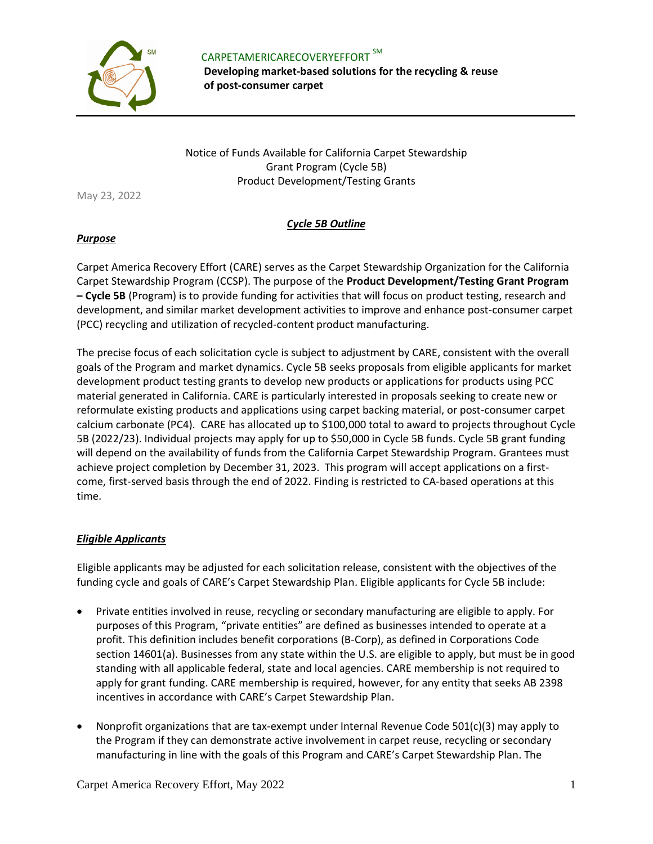

 CARPETAMERICARECOVERYEFFORT SM **Developing market-based solutions for the recycling & reuse of post-consumer carpet** 

Notice of Funds Available for California Carpet Stewardship Grant Program (Cycle 5B) Product Development/Testing Grants

May 23, 2022

### *Cycle 5B Outline*

#### *Purpose*

Carpet America Recovery Effort (CARE) serves as the Carpet Stewardship Organization for the California Carpet Stewardship Program (CCSP). The purpose of the **Product Development/Testing Grant Program – Cycle 5B** (Program) is to provide funding for activities that will focus on product testing, research and development, and similar market development activities to improve and enhance post-consumer carpet (PCC) recycling and utilization of recycled-content product manufacturing.

The precise focus of each solicitation cycle is subject to adjustment by CARE, consistent with the overall goals of the Program and market dynamics. Cycle 5B seeks proposals from eligible applicants for market development product testing grants to develop new products or applications for products using PCC material generated in California. CARE is particularly interested in proposals seeking to create new or reformulate existing products and applications using carpet backing material, or post-consumer carpet calcium carbonate (PC4). CARE has allocated up to \$100,000 total to award to projects throughout Cycle 5B (2022/23). Individual projects may apply for up to \$50,000 in Cycle 5B funds. Cycle 5B grant funding will depend on the availability of funds from the California Carpet Stewardship Program. Grantees must achieve project completion by December 31, 2023. This program will accept applications on a firstcome, first-served basis through the end of 2022. Finding is restricted to CA-based operations at this time.

## *Eligible Applicants*

Eligible applicants may be adjusted for each solicitation release, consistent with the objectives of the funding cycle and goals of CARE's Carpet Stewardship Plan. Eligible applicants for Cycle 5B include:

- Private entities involved in reuse, recycling or secondary manufacturing are eligible to apply. For purposes of this Program, "private entities" are defined as businesses intended to operate at a profit. This definition includes benefit corporations (B-Corp), as defined in Corporations Code section 14601(a). Businesses from any state within the U.S. are eligible to apply, but must be in good standing with all applicable federal, state and local agencies. CARE membership is not required to apply for grant funding. CARE membership is required, however, for any entity that seeks AB 2398 incentives in accordance with CARE's Carpet Stewardship Plan.
- Nonprofit organizations that are tax-exempt under Internal Revenue Code 501(c)(3) may apply to the Program if they can demonstrate active involvement in carpet reuse, recycling or secondary manufacturing in line with the goals of this Program and CARE's Carpet Stewardship Plan. The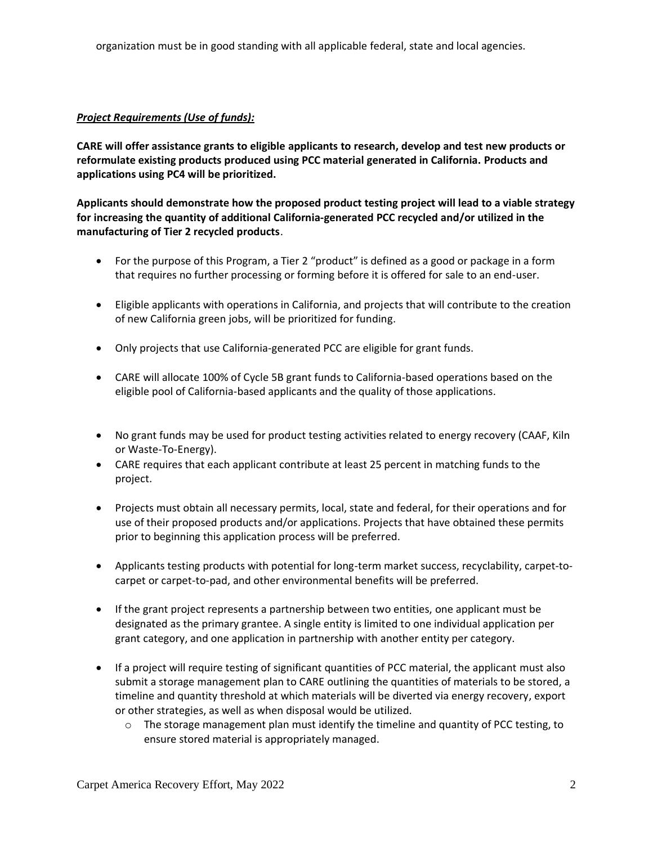organization must be in good standing with all applicable federal, state and local agencies.

### *Project Requirements (Use of funds):*

**CARE will offer assistance grants to eligible applicants to research, develop and test new products or reformulate existing products produced using PCC material generated in California. Products and applications using PC4 will be prioritized.** 

**Applicants should demonstrate how the proposed product testing project will lead to a viable strategy for increasing the quantity of additional California-generated PCC recycled and/or utilized in the manufacturing of Tier 2 recycled products**.

- For the purpose of this Program, a Tier 2 "product" is defined as a good or package in a form that requires no further processing or forming before it is offered for sale to an end-user.
- Eligible applicants with operations in California, and projects that will contribute to the creation of new California green jobs, will be prioritized for funding.
- Only projects that use California-generated PCC are eligible for grant funds.
- CARE will allocate 100% of Cycle 5B grant funds to California-based operations based on the eligible pool of California-based applicants and the quality of those applications.
- No grant funds may be used for product testing activities related to energy recovery (CAAF, Kiln or Waste-To-Energy).
- CARE requires that each applicant contribute at least 25 percent in matching funds to the project.
- Projects must obtain all necessary permits, local, state and federal, for their operations and for use of their proposed products and/or applications. Projects that have obtained these permits prior to beginning this application process will be preferred.
- Applicants testing products with potential for long-term market success, recyclability, carpet-tocarpet or carpet-to-pad, and other environmental benefits will be preferred.
- If the grant project represents a partnership between two entities, one applicant must be designated as the primary grantee. A single entity is limited to one individual application per grant category, and one application in partnership with another entity per category.
- If a project will require testing of significant quantities of PCC material, the applicant must also submit a storage management plan to CARE outlining the quantities of materials to be stored, a timeline and quantity threshold at which materials will be diverted via energy recovery, export or other strategies, as well as when disposal would be utilized.
	- $\circ$  The storage management plan must identify the timeline and quantity of PCC testing, to ensure stored material is appropriately managed.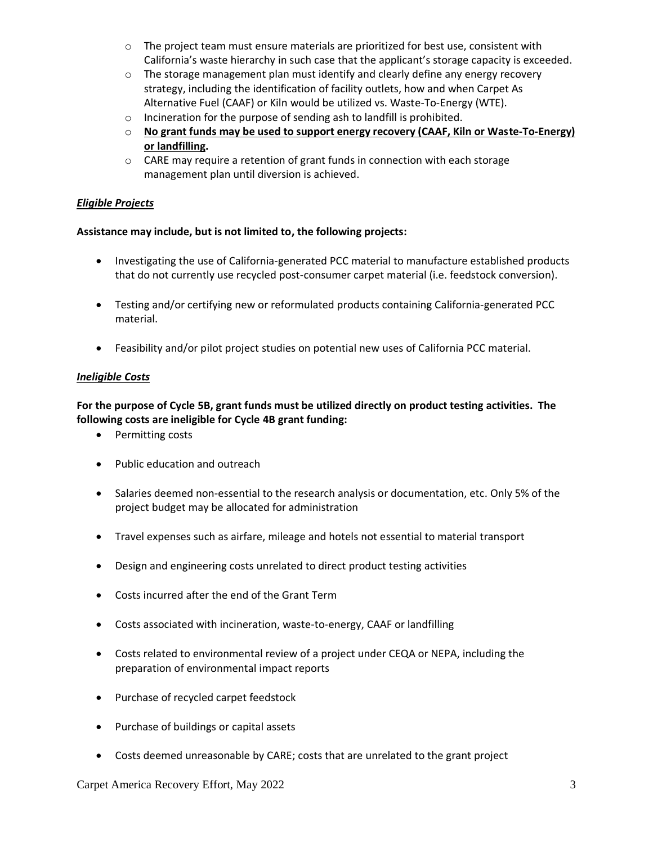- o The project team must ensure materials are prioritized for best use, consistent with California's waste hierarchy in such case that the applicant's storage capacity is exceeded.
- $\circ$  The storage management plan must identify and clearly define any energy recovery strategy, including the identification of facility outlets, how and when Carpet As Alternative Fuel (CAAF) or Kiln would be utilized vs. Waste-To-Energy (WTE).
- o Incineration for the purpose of sending ash to landfill is prohibited.
- o **No grant funds may be used to support energy recovery (CAAF, Kiln or Waste-To-Energy) or landfilling.**
- $\circ$  CARE may require a retention of grant funds in connection with each storage management plan until diversion is achieved.

## *Eligible Projects*

## **Assistance may include, but is not limited to, the following projects:**

- Investigating the use of California-generated PCC material to manufacture established products that do not currently use recycled post-consumer carpet material (i.e. feedstock conversion).
- Testing and/or certifying new or reformulated products containing California-generated PCC material.
- Feasibility and/or pilot project studies on potential new uses of California PCC material.

## *Ineligible Costs*

# **For the purpose of Cycle 5B, grant funds must be utilized directly on product testing activities. The following costs are ineligible for Cycle 4B grant funding:**

- Permitting costs
- Public education and outreach
- Salaries deemed non-essential to the research analysis or documentation, etc. Only 5% of the project budget may be allocated for administration
- Travel expenses such as airfare, mileage and hotels not essential to material transport
- Design and engineering costs unrelated to direct product testing activities
- Costs incurred after the end of the Grant Term
- Costs associated with incineration, waste-to-energy, CAAF or landfilling
- Costs related to environmental review of a project under CEQA or NEPA, including the preparation of environmental impact reports
- Purchase of recycled carpet feedstock
- Purchase of buildings or capital assets
- Costs deemed unreasonable by CARE; costs that are unrelated to the grant project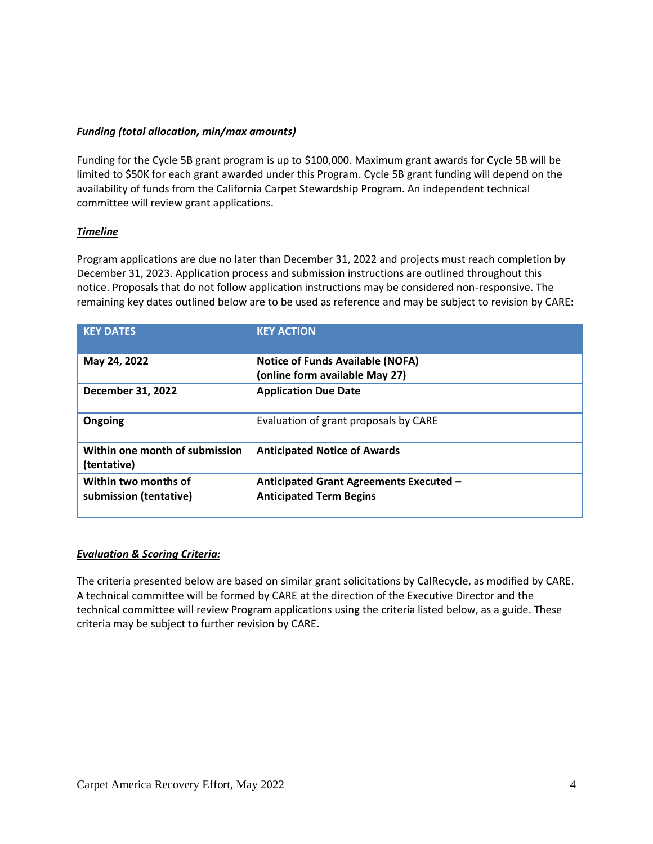### *Funding (total allocation, min/max amounts)*

Funding for the Cycle 5B grant program is up to \$100,000. Maximum grant awards for Cycle 5B will be limited to \$50K for each grant awarded under this Program. Cycle 5B grant funding will depend on the availability of funds from the California Carpet Stewardship Program. An independent technical committee will review grant applications.

### *Timeline*

Program applications are due no later than December 31, 2022 and projects must reach completion by December 31, 2023. Application process and submission instructions are outlined throughout this notice. Proposals that do not follow application instructions may be considered non-responsive. The remaining key dates outlined below are to be used as reference and may be subject to revision by CARE:

| <b>KEY DATES</b>                               | <b>KEY ACTION</b>                                                         |
|------------------------------------------------|---------------------------------------------------------------------------|
| May 24, 2022                                   | <b>Notice of Funds Available (NOFA)</b><br>(online form available May 27) |
| <b>December 31, 2022</b>                       | <b>Application Due Date</b>                                               |
| Ongoing                                        | Evaluation of grant proposals by CARE                                     |
| Within one month of submission<br>(tentative)  | <b>Anticipated Notice of Awards</b>                                       |
| Within two months of<br>submission (tentative) | Anticipated Grant Agreements Executed -<br><b>Anticipated Term Begins</b> |

#### *Evaluation & Scoring Criteria:*

The criteria presented below are based on similar grant solicitations by CalRecycle, as modified by CARE. A technical committee will be formed by CARE at the direction of the Executive Director and the technical committee will review Program applications using the criteria listed below, as a guide. These criteria may be subject to further revision by CARE.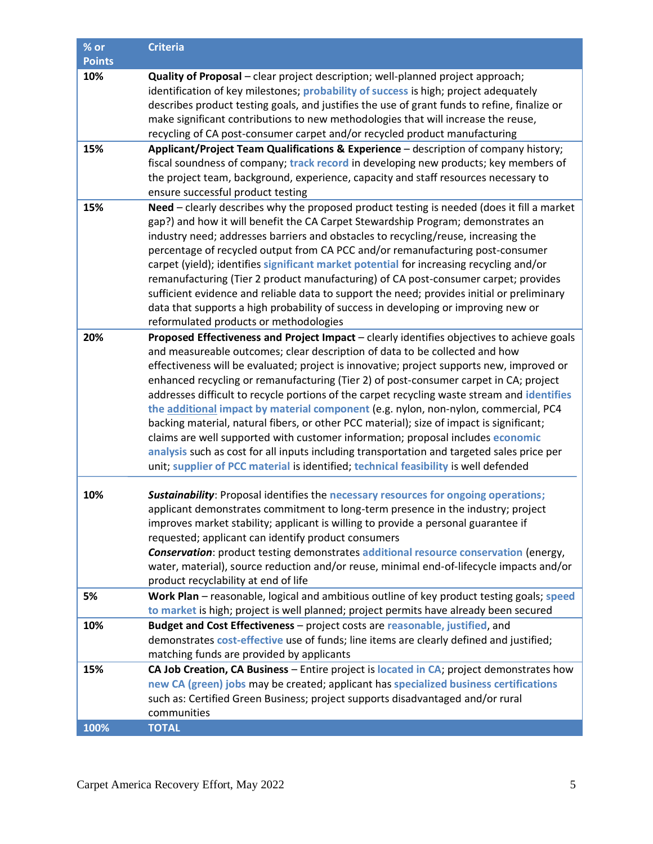| % or          | <b>Criteria</b>                                                                                                                                                                                                                                                                                                                                                                                                                                                                                                                                                                                                                                                                                                                                                                                                                                                                                                            |
|---------------|----------------------------------------------------------------------------------------------------------------------------------------------------------------------------------------------------------------------------------------------------------------------------------------------------------------------------------------------------------------------------------------------------------------------------------------------------------------------------------------------------------------------------------------------------------------------------------------------------------------------------------------------------------------------------------------------------------------------------------------------------------------------------------------------------------------------------------------------------------------------------------------------------------------------------|
| <b>Points</b> |                                                                                                                                                                                                                                                                                                                                                                                                                                                                                                                                                                                                                                                                                                                                                                                                                                                                                                                            |
| 10%           | Quality of Proposal - clear project description; well-planned project approach;<br>identification of key milestones; probability of success is high; project adequately<br>describes product testing goals, and justifies the use of grant funds to refine, finalize or<br>make significant contributions to new methodologies that will increase the reuse,<br>recycling of CA post-consumer carpet and/or recycled product manufacturing                                                                                                                                                                                                                                                                                                                                                                                                                                                                                 |
| 15%           | Applicant/Project Team Qualifications & Experience - description of company history;                                                                                                                                                                                                                                                                                                                                                                                                                                                                                                                                                                                                                                                                                                                                                                                                                                       |
|               | fiscal soundness of company; track record in developing new products; key members of<br>the project team, background, experience, capacity and staff resources necessary to<br>ensure successful product testing                                                                                                                                                                                                                                                                                                                                                                                                                                                                                                                                                                                                                                                                                                           |
| 15%           | Need - clearly describes why the proposed product testing is needed (does it fill a market<br>gap?) and how it will benefit the CA Carpet Stewardship Program; demonstrates an<br>industry need; addresses barriers and obstacles to recycling/reuse, increasing the<br>percentage of recycled output from CA PCC and/or remanufacturing post-consumer<br>carpet (yield); identifies significant market potential for increasing recycling and/or<br>remanufacturing (Tier 2 product manufacturing) of CA post-consumer carpet; provides<br>sufficient evidence and reliable data to support the need; provides initial or preliminary<br>data that supports a high probability of success in developing or improving new or<br>reformulated products or methodologies                                                                                                                                                     |
| 20%           | Proposed Effectiveness and Project Impact - clearly identifies objectives to achieve goals<br>and measureable outcomes; clear description of data to be collected and how<br>effectiveness will be evaluated; project is innovative; project supports new, improved or<br>enhanced recycling or remanufacturing (Tier 2) of post-consumer carpet in CA; project<br>addresses difficult to recycle portions of the carpet recycling waste stream and identifies<br>the additional impact by material component (e.g. nylon, non-nylon, commercial, PC4<br>backing material, natural fibers, or other PCC material); size of impact is significant;<br>claims are well supported with customer information; proposal includes economic<br>analysis such as cost for all inputs including transportation and targeted sales price per<br>unit; supplier of PCC material is identified; technical feasibility is well defended |
| 10%           | <b>Sustainability:</b> Proposal identifies the necessary resources for ongoing operations;<br>applicant demonstrates commitment to long-term presence in the industry; project<br>improves market stability; applicant is willing to provide a personal guarantee if<br>requested; applicant can identify product consumers<br><b>Conservation:</b> product testing demonstrates additional resource conservation (energy,<br>water, material), source reduction and/or reuse, minimal end-of-lifecycle impacts and/or<br>product recyclability at end of life                                                                                                                                                                                                                                                                                                                                                             |
| 5%            | Work Plan - reasonable, logical and ambitious outline of key product testing goals; speed<br>to market is high; project is well planned; project permits have already been secured                                                                                                                                                                                                                                                                                                                                                                                                                                                                                                                                                                                                                                                                                                                                         |
| 10%           | Budget and Cost Effectiveness - project costs are reasonable, justified, and<br>demonstrates cost-effective use of funds; line items are clearly defined and justified;<br>matching funds are provided by applicants                                                                                                                                                                                                                                                                                                                                                                                                                                                                                                                                                                                                                                                                                                       |
| 15%           | CA Job Creation, CA Business - Entire project is located in CA; project demonstrates how<br>new CA (green) jobs may be created; applicant has specialized business certifications<br>such as: Certified Green Business; project supports disadvantaged and/or rural<br>communities                                                                                                                                                                                                                                                                                                                                                                                                                                                                                                                                                                                                                                         |
| 100%          | <b>TOTAL</b>                                                                                                                                                                                                                                                                                                                                                                                                                                                                                                                                                                                                                                                                                                                                                                                                                                                                                                               |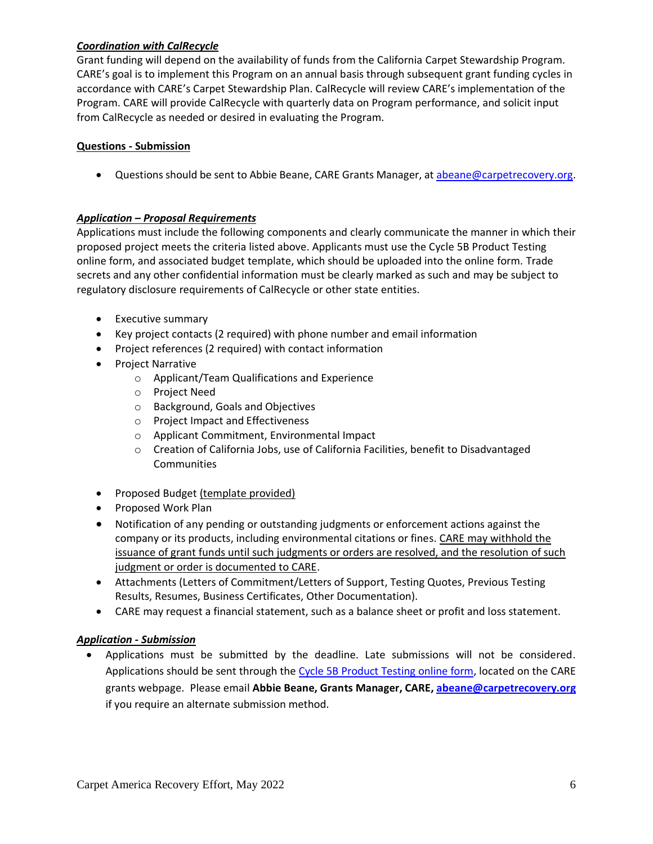## *Coordination with CalRecycle*

Grant funding will depend on the availability of funds from the California Carpet Stewardship Program. CARE's goal is to implement this Program on an annual basis through subsequent grant funding cycles in accordance with CARE's Carpet Stewardship Plan. CalRecycle will review CARE's implementation of the Program. CARE will provide CalRecycle with quarterly data on Program performance, and solicit input from CalRecycle as needed or desired in evaluating the Program.

## **Questions - Submission**

• Questions should be sent to Abbie Beane, CARE Grants Manager, at [abeane@carpetrecovery.org.](mailto:abeane@carpetrecovery.org)

## *Application – Proposal Requirements*

Applications must include the following components and clearly communicate the manner in which their proposed project meets the criteria listed above. Applicants must use the Cycle 5B Product Testing online form, and associated budget template, which should be uploaded into the online form. Trade secrets and any other confidential information must be clearly marked as such and may be subject to regulatory disclosure requirements of CalRecycle or other state entities.

- Executive summary
- Key project contacts (2 required) with phone number and email information
- Project references (2 required) with contact information
- Project Narrative
	- o Applicant/Team Qualifications and Experience
	- o Project Need
	- o Background, Goals and Objectives
	- o Project Impact and Effectiveness
	- o Applicant Commitment, Environmental Impact
	- o Creation of California Jobs, use of California Facilities, benefit to Disadvantaged Communities
- Proposed Budget (template provided)
- Proposed Work Plan
- Notification of any pending or outstanding judgments or enforcement actions against the company or its products, including environmental citations or fines. CARE may withhold the issuance of grant funds until such judgments or orders are resolved, and the resolution of such judgment or order is documented to CARE.
- Attachments (Letters of Commitment/Letters of Support, Testing Quotes, Previous Testing Results, Resumes, Business Certificates, Other Documentation).
- CARE may request a financial statement, such as a balance sheet or profit and loss statement.

## *Application - Submission*

• Applications must be submitted by the deadline. Late submissions will not be considered. Applications should be sent through the [Cycle 5B Product Testing online form,](https://carpetrecovery.org/california/ca-grants/product-testing-application-form/) located on the CARE grants webpage. Please email **Abbie Beane, Grants Manager, CARE, [abeane@carpetrecovery.org](mailto:abeane@carpetrecovery.org)** if you require an alternate submission method.